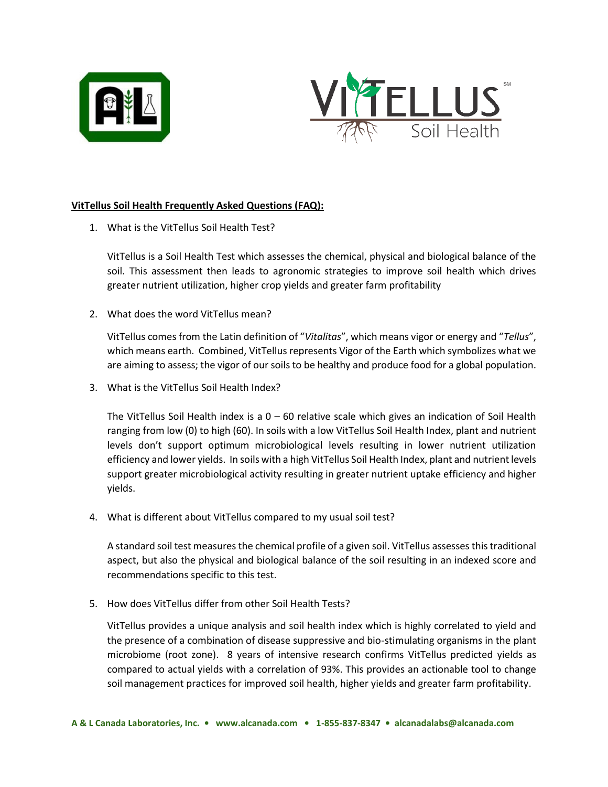



## **VitTellus Soil Health Frequently Asked Questions (FAQ):**

1. What is the VitTellus Soil Health Test?

VitTellus is a Soil Health Test which assesses the chemical, physical and biological balance of the soil. This assessment then leads to agronomic strategies to improve soil health which drives greater nutrient utilization, higher crop yields and greater farm profitability

2. What does the word VitTellus mean?

VitTellus comes from the Latin definition of "*Vitalitas*", which means vigor or energy and "*Tellus*", which means earth. Combined, VitTellus represents Vigor of the Earth which symbolizes what we are aiming to assess; the vigor of our soils to be healthy and produce food for a global population.

3. What is the VitTellus Soil Health Index?

The VitTellus Soil Health index is a  $0 - 60$  relative scale which gives an indication of Soil Health ranging from low (0) to high (60). In soils with a low VitTellus Soil Health Index, plant and nutrient levels don't support optimum microbiological levels resulting in lower nutrient utilization efficiency and lower yields. In soils with a high VitTellus Soil Health Index, plant and nutrient levels support greater microbiological activity resulting in greater nutrient uptake efficiency and higher yields.

4. What is different about VitTellus compared to my usual soil test?

A standard soil test measures the chemical profile of a given soil. VitTellus assesses this traditional aspect, but also the physical and biological balance of the soil resulting in an indexed score and recommendations specific to this test.

5. How does VitTellus differ from other Soil Health Tests?

VitTellus provides a unique analysis and soil health index which is highly correlated to yield and the presence of a combination of disease suppressive and bio-stimulating organisms in the plant microbiome (root zone). 8 years of intensive research confirms VitTellus predicted yields as compared to actual yields with a correlation of 93%. This provides an actionable tool to change soil management practices for improved soil health, higher yields and greater farm profitability.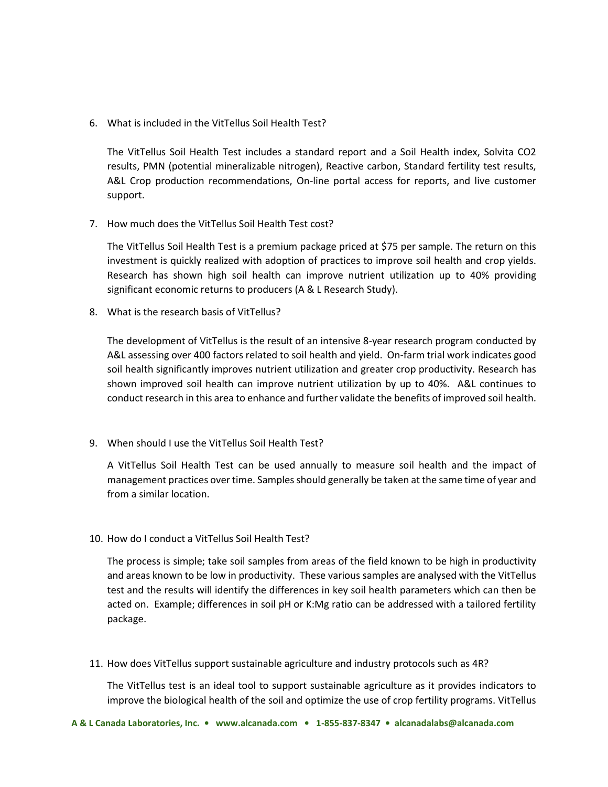6. What is included in the VitTellus Soil Health Test?

The VitTellus Soil Health Test includes a standard report and a Soil Health index, Solvita CO2 results, PMN (potential mineralizable nitrogen), Reactive carbon, Standard fertility test results, A&L Crop production recommendations, On-line portal access for reports, and live customer support.

7. How much does the VitTellus Soil Health Test cost?

The VitTellus Soil Health Test is a premium package priced at \$75 per sample. The return on this investment is quickly realized with adoption of practices to improve soil health and crop yields. Research has shown high soil health can improve nutrient utilization up to 40% providing significant economic returns to producers (A & L Research Study).

8. What is the research basis of VitTellus?

The development of VitTellus is the result of an intensive 8-year research program conducted by A&L assessing over 400 factors related to soil health and yield. On-farm trial work indicates good soil health significantly improves nutrient utilization and greater crop productivity. Research has shown improved soil health can improve nutrient utilization by up to 40%. A&L continues to conduct research in this area to enhance and further validate the benefits of improved soil health.

9. When should I use the VitTellus Soil Health Test?

A VitTellus Soil Health Test can be used annually to measure soil health and the impact of management practices over time. Samples should generally be taken at the same time of year and from a similar location.

10. How do I conduct a VitTellus Soil Health Test?

The process is simple; take soil samples from areas of the field known to be high in productivity and areas known to be low in productivity. These various samples are analysed with the VitTellus test and the results will identify the differences in key soil health parameters which can then be acted on. Example; differences in soil pH or K:Mg ratio can be addressed with a tailored fertility package.

11. How does VitTellus support sustainable agriculture and industry protocols such as 4R?

The VitTellus test is an ideal tool to support sustainable agriculture as it provides indicators to improve the biological health of the soil and optimize the use of crop fertility programs. VitTellus